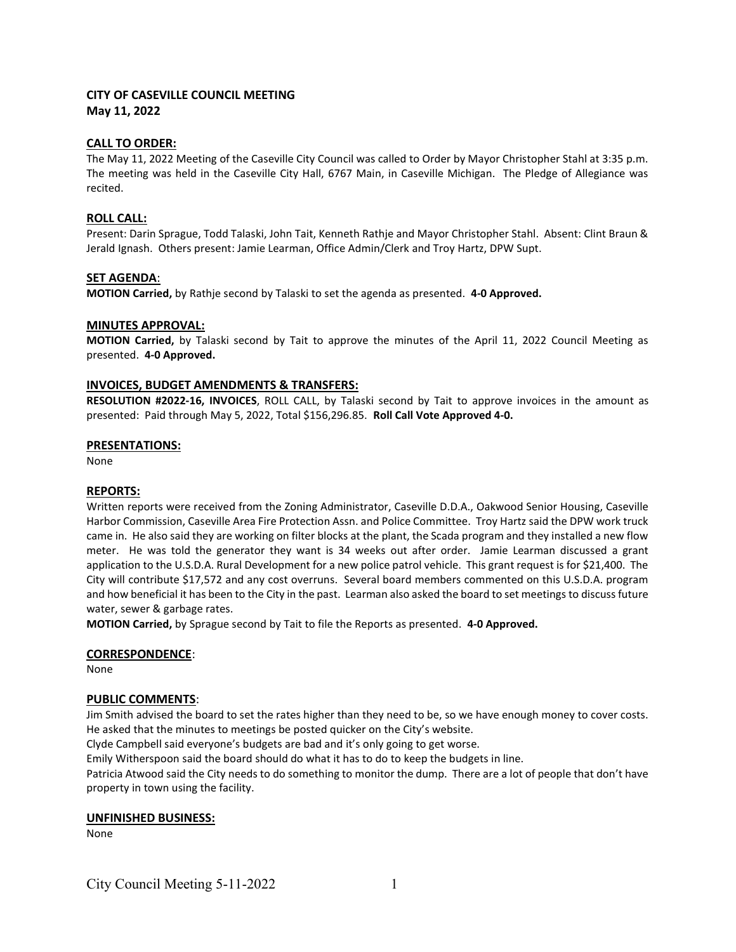# CITY OF CASEVILLE COUNCIL MEETING May 11, 2022

### CALL TO ORDER:

The May 11, 2022 Meeting of the Caseville City Council was called to Order by Mayor Christopher Stahl at 3:35 p.m. The meeting was held in the Caseville City Hall, 6767 Main, in Caseville Michigan. The Pledge of Allegiance was recited.

### ROLL CALL:

Present: Darin Sprague, Todd Talaski, John Tait, Kenneth Rathje and Mayor Christopher Stahl. Absent: Clint Braun & Jerald Ignash. Others present: Jamie Learman, Office Admin/Clerk and Troy Hartz, DPW Supt.

### SET AGENDA:

MOTION Carried, by Rathje second by Talaski to set the agenda as presented. 4-0 Approved.

#### MINUTES APPROVAL:

MOTION Carried, by Talaski second by Tait to approve the minutes of the April 11, 2022 Council Meeting as presented. 4-0 Approved.

### INVOICES, BUDGET AMENDMENTS & TRANSFERS:

RESOLUTION #2022-16, INVOICES, ROLL CALL, by Talaski second by Tait to approve invoices in the amount as presented: Paid through May 5, 2022, Total \$156,296.85. Roll Call Vote Approved 4-0.

### PRESENTATIONS:

None

#### REPORTS:

Written reports were received from the Zoning Administrator, Caseville D.D.A., Oakwood Senior Housing, Caseville Harbor Commission, Caseville Area Fire Protection Assn. and Police Committee. Troy Hartz said the DPW work truck came in. He also said they are working on filter blocks at the plant, the Scada program and they installed a new flow meter. He was told the generator they want is 34 weeks out after order. Jamie Learman discussed a grant application to the U.S.D.A. Rural Development for a new police patrol vehicle. This grant request is for \$21,400. The City will contribute \$17,572 and any cost overruns. Several board members commented on this U.S.D.A. program and how beneficial it has been to the City in the past. Learman also asked the board to set meetings to discuss future water, sewer & garbage rates.

MOTION Carried, by Sprague second by Tait to file the Reports as presented. 4-0 Approved.

# CORRESPONDENCE:

None

# PUBLIC COMMENTS:

Jim Smith advised the board to set the rates higher than they need to be, so we have enough money to cover costs. He asked that the minutes to meetings be posted quicker on the City's website.

Clyde Campbell said everyone's budgets are bad and it's only going to get worse.

Emily Witherspoon said the board should do what it has to do to keep the budgets in line.

Patricia Atwood said the City needs to do something to monitor the dump. There are a lot of people that don't have property in town using the facility.

# UNFINISHED BUSINESS:

None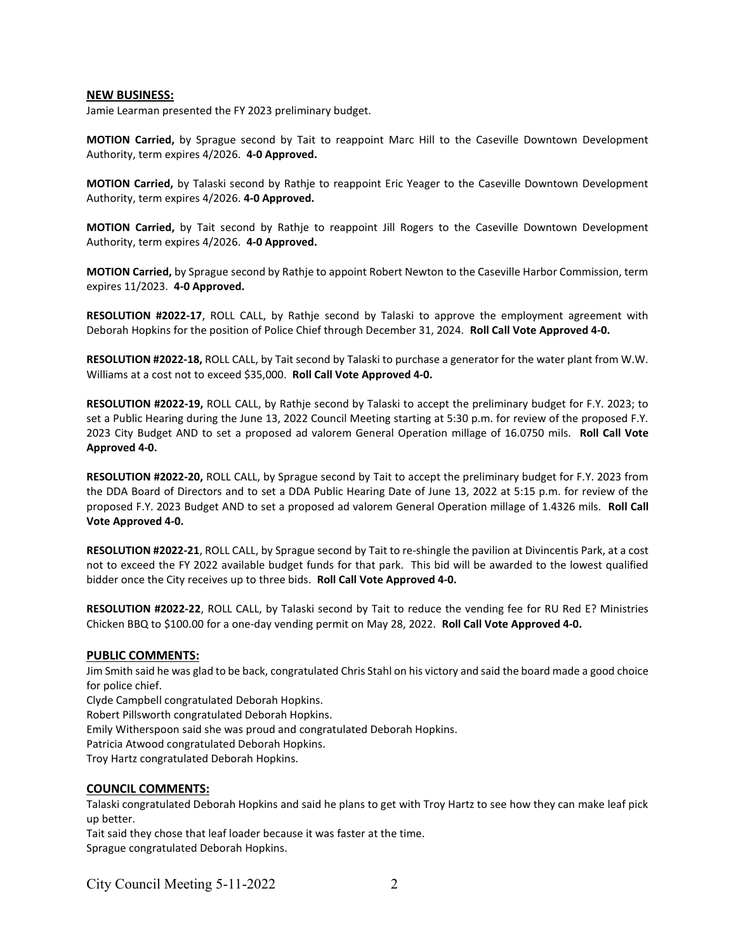#### NEW BUSINESS:

Jamie Learman presented the FY 2023 preliminary budget.

MOTION Carried, by Sprague second by Tait to reappoint Marc Hill to the Caseville Downtown Development Authority, term expires 4/2026. 4-0 Approved.

MOTION Carried, by Talaski second by Rathje to reappoint Eric Yeager to the Caseville Downtown Development Authority, term expires 4/2026. 4-0 Approved.

MOTION Carried, by Tait second by Rathje to reappoint Jill Rogers to the Caseville Downtown Development Authority, term expires 4/2026. 4-0 Approved.

MOTION Carried, by Sprague second by Rathje to appoint Robert Newton to the Caseville Harbor Commission, term expires 11/2023. 4-0 Approved.

RESOLUTION #2022-17, ROLL CALL, by Rathje second by Talaski to approve the employment agreement with Deborah Hopkins for the position of Police Chief through December 31, 2024. Roll Call Vote Approved 4-0.

RESOLUTION #2022-18, ROLL CALL, by Tait second by Talaski to purchase a generator for the water plant from W.W. Williams at a cost not to exceed \$35,000. Roll Call Vote Approved 4-0.

RESOLUTION #2022-19, ROLL CALL, by Rathje second by Talaski to accept the preliminary budget for F.Y. 2023; to set a Public Hearing during the June 13, 2022 Council Meeting starting at 5:30 p.m. for review of the proposed F.Y. 2023 City Budget AND to set a proposed ad valorem General Operation millage of 16.0750 mils. Roll Call Vote Approved 4-0.

RESOLUTION #2022-20, ROLL CALL, by Sprague second by Tait to accept the preliminary budget for F.Y. 2023 from the DDA Board of Directors and to set a DDA Public Hearing Date of June 13, 2022 at 5:15 p.m. for review of the proposed F.Y. 2023 Budget AND to set a proposed ad valorem General Operation millage of 1.4326 mils. Roll Call Vote Approved 4-0.

RESOLUTION #2022-21, ROLL CALL, by Sprague second by Tait to re-shingle the pavilion at Divincentis Park, at a cost not to exceed the FY 2022 available budget funds for that park. This bid will be awarded to the lowest qualified bidder once the City receives up to three bids. Roll Call Vote Approved 4-0.

RESOLUTION #2022-22, ROLL CALL, by Talaski second by Tait to reduce the vending fee for RU Red E? Ministries Chicken BBQ to \$100.00 for a one-day vending permit on May 28, 2022. Roll Call Vote Approved 4-0.

# PUBLIC COMMENTS:

Jim Smith said he was glad to be back, congratulated Chris Stahl on his victory and said the board made a good choice for police chief.

Clyde Campbell congratulated Deborah Hopkins.

Robert Pillsworth congratulated Deborah Hopkins.

Emily Witherspoon said she was proud and congratulated Deborah Hopkins.

Patricia Atwood congratulated Deborah Hopkins.

Troy Hartz congratulated Deborah Hopkins.

# COUNCIL COMMENTS:

Talaski congratulated Deborah Hopkins and said he plans to get with Troy Hartz to see how they can make leaf pick up better.

Tait said they chose that leaf loader because it was faster at the time. Sprague congratulated Deborah Hopkins.

City Council Meeting 5-11-2022 2